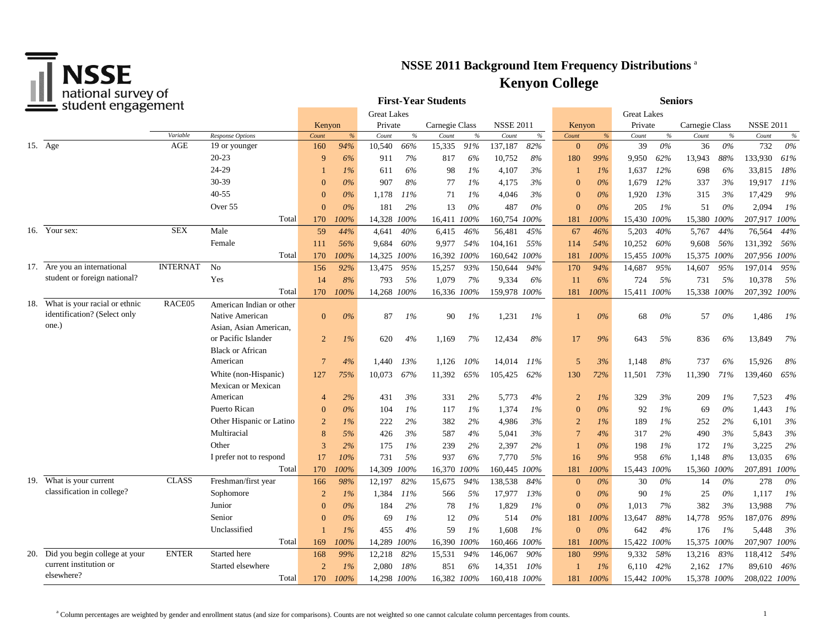

| Tiduolidi survey ol<br>student engagement |                                   |                    |                          |                |       |             | <b>First-Year Students</b> |                |                    | <b>Seniors</b>   |       |                |       |             |       |                |       |                  |       |
|-------------------------------------------|-----------------------------------|--------------------|--------------------------|----------------|-------|-------------|----------------------------|----------------|--------------------|------------------|-------|----------------|-------|-------------|-------|----------------|-------|------------------|-------|
|                                           |                                   | <b>Great Lakes</b> |                          |                |       |             |                            |                | <b>Great Lakes</b> |                  |       |                |       |             |       |                |       |                  |       |
|                                           |                                   |                    |                          | Kenyon         |       | Private     |                            | Carnegie Class |                    | <b>NSSE 2011</b> |       | Kenyon         |       | Private     |       | Carnegie Class |       | <b>NSSE 2011</b> |       |
|                                           |                                   | Variable           | <b>Response Options</b>  | Count          | $\%$  | Count       | $\%$                       | Count          | $\%$               | Count            | $\%$  | Count          | %     | Count       | $\%$  | Count          | $\%$  | Count            | $\%$  |
|                                           | 15. Age                           | AGE                | 19 or younger            | 160            | 94%   | 10,540      | 66%                        | 15,335         | 91%                | 137,187          | 82%   | $\overline{0}$ | $0\%$ | 39          | $0\%$ | 36             | $0\%$ | 732              | $0\%$ |
|                                           |                                   |                    | $20 - 23$                | 9              | 6%    | 911         | 7%                         | 817            | 6%                 | 10,752           | 8%    | 180            | 99%   | 9,950       | 62%   | 13,943         | 88%   | 133,930          | 61%   |
|                                           |                                   |                    | 24-29                    |                | $1\%$ | 611         | 6%                         | 98             | $1\%$              | 4,107            | 3%    |                | $1\%$ | 1.637       | 12%   | 698            | 6%    | 33,815           | 18%   |
|                                           |                                   |                    | 30-39                    | $\Omega$       | 0%    | 907         | 8%                         | 77             | 1%                 | 4,175            | 3%    | $\Omega$       | $0\%$ | 1,679       | 12%   | 337            | 3%    | 19,917           | 11%   |
|                                           |                                   |                    | $40 - 55$                | $\theta$       | $0\%$ | 1,178       | 11%                        | 71             | $1\%$              | 4,046            | 3%    | $\Omega$       | $0\%$ | 1,920       | 13%   | 315            | 3%    | 17,429           | 9%    |
|                                           |                                   |                    | Over 55                  | $\mathbf{0}$   | $0\%$ | 181         | 2%                         | 13             | 0%                 | 487              | $0\%$ | $\Omega$       | $0\%$ | 205         | $1\%$ | 51             | 0%    | 2,094            | $1\%$ |
|                                           |                                   |                    | Total                    | 170            | 100%  | 14,328      | 100%                       | 16,411 100%    |                    | 160,754          | 100%  | 181            | 100%  | 15,430      | 100%  | 15,380         | 100%  | 207,917 100%     |       |
|                                           | 16. Your sex:                     | <b>SEX</b>         | Male                     | 59             | 44%   | 4,641       | 40%                        | 6,415          | 46%                | 56,481           | 45%   | 67             | 46%   | 5.203       | 40%   | 5,767          | 44%   | 76,564           | 44%   |
|                                           |                                   |                    | Female                   | 111            | 56%   | 9,684       | 60%                        | 9,977          | 54%                | 104,161          | 55%   | 114            | 54%   | 10,252      | 60%   | 9,608          | 56%   | 131,392          | 56%   |
|                                           |                                   |                    | Total                    | 170            | 100%  | 14,325 100% |                            | 16,392 100%    |                    | 160,642 100%     |       | 181            | 100%  | 15,455 100% |       | 15,375 100%    |       | 207,956 100%     |       |
|                                           | 17. Are you an international      | <b>INTERNAT</b>    | N <sub>o</sub>           | 156            | 92%   | 13,475      | 95%                        | 15,257         | 93%                | 150,644          | 94%   | 170            | 94%   | 14,687      | 95%   | 14,607         | 95%   | 197,014          | 95%   |
|                                           | student or foreign national?      |                    | Yes                      | 14             | 8%    | 793         | 5%                         | 1,079          | 7%                 | 9,334            | 6%    | 11             | 6%    | 724         | 5%    | 731            | 5%    | 10,378           | 5%    |
|                                           |                                   |                    | Total                    | 170            | 100%  | 14,268 100% |                            | 16,336 100%    |                    | 159,978 100%     |       | 181            | 100%  | 15,411 100% |       | 15,338 100%    |       | 207,392 100%     |       |
|                                           | 18. What is your racial or ethnic | RACE <sub>05</sub> | American Indian or other |                |       |             |                            |                |                    |                  |       |                |       |             |       |                |       |                  |       |
|                                           | identification? (Select only      |                    | Native American          | $\mathbf{0}$   | 0%    | 87          | 1%                         | 90             | $1\%$              | 1,231            | 1%    |                | $0\%$ | 68          | $0\%$ | 57             | 0%    | 1,486            | - 1%  |
|                                           | one.)                             |                    | Asian, Asian American,   |                |       |             |                            |                |                    |                  |       |                |       |             |       |                |       |                  |       |
|                                           |                                   |                    | or Pacific Islander      | $\overline{2}$ | 1%    | 620         | 4%                         | 1,169          | 7%                 | 12,434           | 8%    | 17             | 9%    | 643         | 5%    | 836            | 6%    | 13,849           | 7%    |
|                                           |                                   |                    | <b>Black or African</b>  |                |       |             |                            |                |                    |                  |       |                |       |             |       |                |       |                  |       |
|                                           |                                   |                    | American                 | $\overline{7}$ | 4%    | 1,440       | 13%                        | 1,126          | 10%                | 14,014           | 11%   | 5              | 3%    | 1.148       | 8%    | 737            | 6%    | 15,926           | 8%    |
|                                           |                                   |                    | White (non-Hispanic)     | 127            | 75%   | 10,073      | 67%                        | 11,392         | 65%                | 105,425          | 62%   | 130            | 72%   | 11,501      | 73%   | 11,390         | 71%   | 139,460          | 65%   |
|                                           |                                   |                    | Mexican or Mexican       |                |       |             |                            |                |                    |                  |       |                |       |             |       |                |       |                  |       |
|                                           |                                   |                    | American                 | $\overline{4}$ | 2%    | 431         | 3%                         | 331            | 2%                 | 5,773            | 4%    | $\overline{2}$ | $1\%$ | 329         | 3%    | 209            | $1\%$ | 7,523            | 4%    |
|                                           |                                   |                    | Puerto Rican             | $\mathbf{0}$   | 0%    | 104         | 1%                         | 117            | 1%                 | 1,374            | 1%    | $\overline{0}$ | $0\%$ | 92          | 1%    | 69             | $0\%$ | 1,443            | 1%    |
|                                           |                                   |                    | Other Hispanic or Latino | $\overline{2}$ | $1\%$ | 222         | 2%                         | 382            | 2%                 | 4,986            | 3%    | $\overline{2}$ | 1%    | 189         | $1\%$ | 252            | 2%    | 6,101            | 3%    |
|                                           |                                   |                    | Multiracial              | 8              | 5%    | 426         | 3%                         | 587            | 4%                 | 5,041            | 3%    | $\overline{7}$ | 4%    | 317         | 2%    | 490            | 3%    | 5,843            | 3%    |
|                                           |                                   |                    | Other                    | 3              | 2%    | 175         | 1%                         | 239            | 2%                 | 2,397            | 2%    |                | 0%    | 198         | 1%    | 172            | 1%    | 3,225            | 2%    |
|                                           |                                   |                    | I prefer not to respond  | 17             | 10%   | 731         | 5%                         | 937            | 6%                 | 7,770            | 5%    | 16             | 9%    | 958         | 6%    | 1,148          | 8%    | 13,035           | 6%    |
|                                           |                                   |                    | Total                    | 170            | 100%  | 14,309      | 100%                       | 16,370 100%    |                    | 160,445 100%     |       | 181            | 100%  | 15,443 100% |       | 15,360 100%    |       | 207,891 100%     |       |
|                                           | 19. What is your current          | <b>CLASS</b>       | Freshman/first year      | 166            | 98%   | 12,197      | 82%                        | 15,675         | 94%                | 138,538          | 84%   | $\mathbf{0}$   | $0\%$ | 30          | $0\%$ | 14             | $0\%$ | 278              | 0%    |
|                                           | classification in college?        |                    | Sophomore                | $\overline{2}$ | $1\%$ | 1,384       | 11%                        | 566            | 5%                 | 17,977           | 13%   | $\Omega$       | 0%    | 90          | $1\%$ | 25             | 0%    | 1,117            | 1%    |
|                                           |                                   |                    | Junior                   | $\Omega$       | $0\%$ | 184         | 2%                         | 78             | $1\%$              | 1,829            | $1\%$ | $\Omega$       | $0\%$ | 1.013       | 7%    | 382            | 3%    | 13,988           | 7%    |
|                                           |                                   |                    | Senior                   | $\theta$       | $0\%$ | 69          | $1\%$                      | 12             | 0%                 | 514              | 0%    | 181            | 100%  | 13,647      | 88%   | 14,778         | 95%   | 187,076          | 89%   |
|                                           |                                   |                    | Unclassified             |                | 1%    | 455         | 4%                         | 59             | 1%                 | 1,608            | $1\%$ | $\Omega$       | $0\%$ | 642         | 4%    | 176            | - 1%  | 5,448            | 3%    |
|                                           |                                   |                    | Total                    | 169            | 100%  | 14,289      | 100%                       | 16,390 100%    |                    | 160,466 100%     |       | 181            | 100%  | 15,422      | 100%  | 15,375 100%    |       | 207,907 100%     |       |
|                                           | 20. Did you begin college at your | <b>ENTER</b>       | Started here             | 168            | 99%   | 12,218      | 82%                        | 15,531         | 94%                | 146,067          | 90%   | 180            | 99%   | 9,332       | 58%   | 13,216         | 83%   | 118,412          | 54%   |
|                                           | current institution or            |                    | Started elsewhere        | $\overline{2}$ | 1%    | 2,080       | 18%                        | 851            | 6%                 | 14,351           | 10%   |                | $1\%$ | 6,110       | 42%   | 2,162          | 17%   | 89,610           | 46%   |
|                                           | elsewhere?                        |                    | Total                    | 170            | 100%  | 14,298 100% |                            | 16,382 100%    |                    | 160.418 100%     |       | 181            | 100%  | 15,442 100% |       | 15,378 100%    |       | 208.022 100%     |       |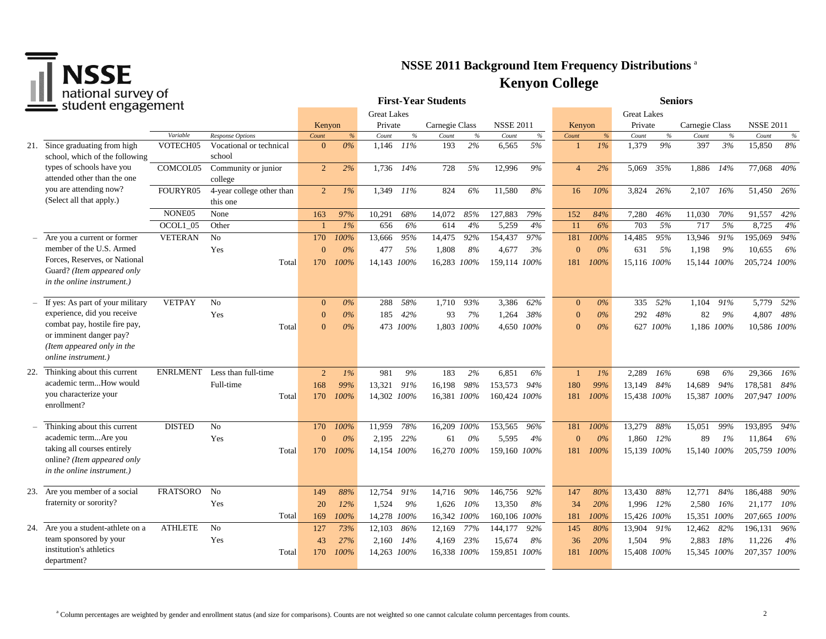

| Tiquotidi survey of<br>student engagement |                                                                                                                      |                      |                                             |                   |               | <b>First-Year Students</b> |                      |             | <b>Seniors</b>   |            |                |            |                    |            |                |            |                  |               |
|-------------------------------------------|----------------------------------------------------------------------------------------------------------------------|----------------------|---------------------------------------------|-------------------|---------------|----------------------------|----------------------|-------------|------------------|------------|----------------|------------|--------------------|------------|----------------|------------|------------------|---------------|
|                                           |                                                                                                                      |                      |                                             |                   |               | <b>Great Lakes</b>         |                      |             |                  |            |                |            | <b>Great Lakes</b> |            |                |            |                  |               |
|                                           |                                                                                                                      |                      |                                             | Kenyon            |               | Private                    | Carnegie Class       |             | <b>NSSE 2011</b> |            | Kenyon         |            | Private            |            | Carnegie Class |            | <b>NSSE 2011</b> |               |
|                                           |                                                                                                                      | Variable<br>VOTECH05 | Response Options<br>Vocational or technical | Count<br>$\theta$ | $\%$<br>$0\%$ | Count<br>1,146<br>11%      | $\%$<br>Count<br>193 | $\%$<br>2%  | Count            | $\%$<br>5% | Count          | %<br>$1\%$ | Count<br>1,379     | $\%$<br>9% | Count<br>397   | $\%$<br>3% | Count<br>15,850  | $\%$<br>$8\%$ |
|                                           | 21. Since graduating from high<br>school, which of the following                                                     |                      | school                                      |                   |               |                            |                      |             | 6,565            |            |                |            |                    |            |                |            |                  |               |
| 22.<br>24.                                | types of schools have you<br>attended other than the one                                                             | COMCOL05             | Community or junior<br>college              | $\overline{2}$    | 2%            | 1,736<br>14%               | 728                  | 5%          | 12,996           | 9%         | $\overline{4}$ | 2%         | 5,069              | 35%        | 1,886          | 14%        | 77,068           | 40%           |
|                                           | you are attending now?<br>(Select all that apply.)                                                                   | FOURYR05             | 4-year college other than<br>this one       | $\overline{2}$    | $1\%$         | 1,349<br>11%               | 824                  | 6%          | 11,580           | 8%         | 16             | $10\%$     | 3.824              | 26%        | 2,107 16%      |            | 51,450 26%       |               |
|                                           |                                                                                                                      | NONE05               | None                                        | 163               | 97%           | 68%<br>10,291              | 14,072               | 85%         | 127,883          | 79%        | 152            | 84%        | 7,280              | 46%        | 11,030         | 70%        | 91,557           | 42%           |
|                                           |                                                                                                                      | OCOL1 05             | Other                                       |                   | 1%            | 656                        | 6%<br>614            | 4%          | 5,259            | 4%         | 11             | 6%         | 703                | 5%         | 717            | 5%         | 8,725            | 4%            |
|                                           | Are you a current or former                                                                                          | <b>VETERAN</b>       | N <sub>o</sub>                              | 170               | 100%          | 13,666<br>95%              | 14,475               | 92%         | 154,437          | 97%        | 181            | 100%       | 14,485             | 95%        | 13,946         | 91%        | 195,069          | 94%           |
|                                           | member of the U.S. Armed                                                                                             |                      | Yes                                         | $\mathbf{0}$      | 0%            | 477                        | 5%<br>1,808          | 8%          | 4,677            | 3%         | $\Omega$       | 0%         | 631                | 5%         | 1,198          | 9%         | 10,655           | 6%            |
|                                           | Forces, Reserves, or National<br>Guard? (Item appeared only<br><i>in the online instrument.)</i>                     |                      | Total                                       | 170               | 100%          | 14,143 100%                |                      | 16,283 100% | 159,114 100%     |            | 181            | 100%       | 15.116 100%        |            | 15.144 100%    |            | 205,724 100%     |               |
|                                           | If yes: As part of your military                                                                                     | <b>VETPAY</b>        | N <sub>o</sub>                              | $\Omega$          | $0\%$         | 58%<br>288                 | 1,710                | 93%         | 3,386            | 62%        | $\overline{0}$ | $0\%$      | 335                | 52%        | 1.104          | 91%        | 5,779            | 52%           |
|                                           | experience, did you receive                                                                                          |                      | Yes                                         | $\Omega$          | $0\%$         | 185<br>42%                 | 93                   | 7%          | 1,264            | 38%        | $\mathbf{0}$   | $0\%$      | 292                | 48%        | 82             | 9%         | 4,807            | 48%           |
|                                           | combat pay, hostile fire pay,<br>or imminent danger pay?<br>(Item appeared only in the<br><i>online instrument.)</i> |                      | Total                                       | $\Omega$          | 0%            | 473 100%                   | 1.803                | 100%        | 4.650 100%       |            | $\Omega$       | $0\%$      |                    | 627 100%   | 1.186 100%     |            | 10.586 100%      |               |
|                                           | Thinking about this current                                                                                          | <b>ENRLMENT</b>      | Less than full-time                         | 2                 | $1\%$         | 981                        | 9%<br>183            | 2%          | 6,851            | 6%         | $\mathbf{1}$   | $1\%$      | 2,289              | 16%        | 698            | 6%         | 29,366           | 16%           |
|                                           | academic termHow would                                                                                               |                      | Full-time                                   | 168               | 99%           | 13,321<br>91%              | 16,198               | 98%         | 153,573          | 94%        | 180            | 99%        | 13,149             | 84%        | 14,689         | 94%        | 178,581          | 84%           |
|                                           | you characterize your<br>enrollment?                                                                                 |                      | Total                                       | 170               | 100%          | 14,302 100%                |                      | 16,381 100% | 160,424 100%     |            | 181            | 100%       | 15,438 100%        |            | 15,387         | 100%       | 207,947 100%     |               |
|                                           | Thinking about this current                                                                                          | <b>DISTED</b>        | No                                          | 170               | 100%          | 78%<br>11,959              |                      | 16,209 100% | 153,565          | 96%        | 181            | 100%       | 13,279             | 88%        | 15,051         | 99%        | 193,895          | 94%           |
|                                           | academic termAre you                                                                                                 |                      | Yes                                         | $\mathbf{0}$      | 0%            | 2,195<br>22%               | 61                   | 0%          | 5,595            | 4%         | $\Omega$       | 0%         | 1,860              | 12%        | 89             | 1%         | 11,864           | 6%            |
|                                           | taking all courses entirely<br>online? (Item appeared only<br>in the online instrument.)                             |                      | Total                                       | 170               | 100%          | 14,154 100%                |                      | 16,270 100% | 159,160 100%     |            | 181            | 100%       | 15,139 100%        |            | 15,140 100%    |            | 205,759 100%     |               |
|                                           | 23. Are you member of a social                                                                                       | <b>FRATSORO</b>      | N <sub>o</sub>                              | 149               | 88%           | 12,754<br>91%              | 14,716               | 90%         | 146,756          | 92%        | 147            | 80%        | 13,430             | 88%        | 12,771         | 84%        | 186,488          | 90%           |
|                                           | fraternity or sorority?                                                                                              |                      | Yes                                         | 20                | 12%           | 1,524                      | 9%<br>1,626          | $10\%$      | 13,350           | 8%         | 34             | 20%        | 1,996              | 12%        | 2,580          | - 16%      | 21,177 10%       |               |
|                                           |                                                                                                                      |                      | Total                                       | 169               | 100%          | 14,278 100%                |                      | 16,342 100% | 160,106 100%     |            | 181            | 100%       | 15,426 100%        |            | 15,351 100%    |            | 207,665 100%     |               |
|                                           | Are you a student-athlete on a                                                                                       | <b>ATHLETE</b>       | N <sub>o</sub>                              | 127               | 73%           | 86%<br>12,103              | 12,169               | 77%         | 144,177          | 92%        | 145            | 80%        | 13,904             | 91%        | 12,462         | 82%        | 196,131          | 96%           |
|                                           | team sponsored by your                                                                                               |                      | Yes                                         | 43                | 27%           | 2,160<br>14%               | 4,169                | 23%         | 15,674           | 8%         | 36             | 20%        | 1,504              | 9%         | 2,883          | - 18%      | 11,226           | 4%            |
|                                           | institution's athletics<br>department?                                                                               |                      | Total                                       | 170               | 100%          | 14,263 100%                |                      | 16,338 100% | 159,851          | 100%       | 181            | 100%       | 15,408 100%        |            | 15,345 100%    |            | 207,357 100%     |               |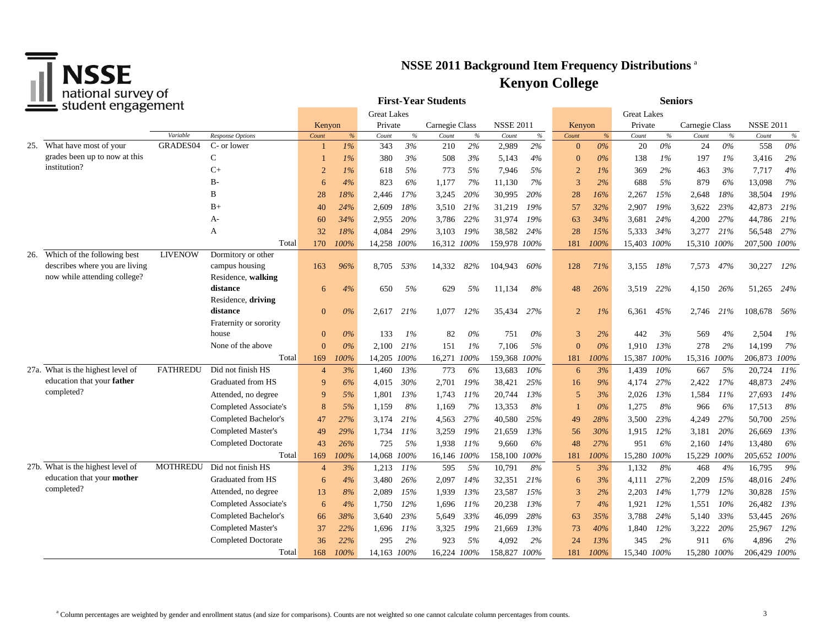

| Tiquotidi survey of<br>student engagement |                                                             |                    |                                               |                |           |             | <b>First-Year Students</b> |                |            | <b>Seniors</b>   |                    |                |       |             |            |                |      |                  |            |
|-------------------------------------------|-------------------------------------------------------------|--------------------|-----------------------------------------------|----------------|-----------|-------------|----------------------------|----------------|------------|------------------|--------------------|----------------|-------|-------------|------------|----------------|------|------------------|------------|
|                                           |                                                             | <b>Great Lakes</b> |                                               |                |           |             |                            |                |            |                  | <b>Great Lakes</b> |                |       |             |            |                |      |                  |            |
|                                           |                                                             |                    |                                               | Kenyon         |           | Private     |                            | Carnegie Class |            | <b>NSSE 2011</b> |                    | Kenyon         |       | Private     |            | Carnegie Class |      | <b>NSSE 2011</b> |            |
|                                           |                                                             | Variable           | Response Options                              | Count          | %         | Count       | $\%$                       | Count          | $\%$       | Count            | $\%$               | Count          | $\%$  | Count       | $\%$       | Count          | $\%$ | Count            | $\%$       |
|                                           | 25. What have most of your<br>grades been up to now at this | GRADES04           | C- or lower                                   |                | $1\%$     | 343         | 3%                         | 210            | 2%         | 2,989            | 2%                 | $\Omega$       | $0\%$ | 20          | $0\%$      | 24             | 0%   | 558              | $0\%$      |
|                                           | institution?                                                |                    | C                                             |                | $1\%$     | 380         | 3%                         | 508            | 3%         | 5,143            | 4%                 | $\Omega$       | 0%    | 138         | $1\%$      | 197            | 1%   | 3,416            | 2%         |
|                                           |                                                             |                    | $C+$                                          | $\overline{2}$ | $1\%$     | 618         | 5%                         | 773            | 5%         | 7,946            | 5%                 | $\overline{2}$ | $1\%$ | 369         | 2%         | 463            | 3%   | 7,717            | 4%         |
|                                           |                                                             |                    | $B -$                                         | 6              | 4%        | 823         | 6%                         | 1,177          | 7%         | 11,130           | 7%                 | 3              | 2%    | 688         | 5%         | 879            | 6%   | 13,098           | 7%         |
|                                           |                                                             |                    | B                                             | 28             | 18%       | 2,446       | 17%                        | 3,245          | 20%        | 30,995           | 20%                | 28             | 16%   | 2,267       | 15%        | 2,648          | 18%  | 38,504           | 19%        |
|                                           |                                                             |                    | $B+$                                          | 40             | 24%       | 2,609       | 18%                        | 3,510          | 21%        | 31,219           | 19%                | 57             | 32%   | 2,907       | 19%        | 3,622          | 23%  | 42,873           | 21%        |
|                                           |                                                             |                    | A-                                            | 60             | 34%       | 2,955       | 20%                        | 3,786          | 22%        | 31,974           | 19%                | 63             | 34%   | 3,681       | 24%        | 4,200          | 27%  | 44,786           | 21%        |
|                                           |                                                             |                    | А                                             | 32             | 18%       | 4,084       | 29%                        | 3,103          | 19%        | 38,582           | 24%                | 28             | 15%   | 5,333       | 34%        | 3,277          | 21%  | 56,548           | 27%        |
|                                           |                                                             |                    | Total                                         | 170            | 100%      | 14,258 100% |                            | 16,312 100%    |            | 159,978 100%     |                    | 181            | 100%  | 15,403 100% |            | 15,310 100%    |      | 207,500 100%     |            |
| 26.                                       | Which of the following best                                 | <b>LIVENOW</b>     | Dormitory or other                            |                |           |             |                            |                |            |                  |                    |                |       |             |            |                |      |                  |            |
|                                           | describes where you are living                              |                    | campus housing                                | 163            | 96%       | 8,705       | 53%                        | 14,332         | 82%        | 104,943          | 60%                | 128            | 71%   | 3,155       | 18%        | 7,573          | 47%  | 30,227           | 12%        |
|                                           | now while attending college?                                |                    | Residence, walking                            |                |           |             |                            |                |            |                  |                    |                |       |             |            |                |      |                  |            |
|                                           |                                                             |                    | distance                                      | 6              | 4%        | 650         | 5%                         | 629            | 5%         | 11,134           | 8%                 | 48             | 26%   | 3,519 22%   |            | 4,150          | 26%  | 51,265 24%       |            |
|                                           |                                                             |                    | Residence, driving<br>distance                | $\overline{0}$ | 0%        |             | 21%                        |                | 12%        |                  | 27%                | $\overline{2}$ |       |             | 45%        |                |      |                  |            |
|                                           |                                                             |                    | Fraternity or sorority                        |                |           | 2,617       |                            | 1,077          |            | 35,434           |                    |                | $1\%$ | 6,361       |            | 2,746          | 21%  | 108,678          | - 56%      |
|                                           |                                                             |                    | house                                         | $\overline{0}$ | 0%        | 133         | 1%                         | 82             | $0\%$      | 751              | $0\%$              | 3              | 2%    | 442         | 3%         | 569            | 4%   | 2,504            | 1%         |
|                                           |                                                             |                    | None of the above                             | $\Omega$       | 0%        | 2,100       | 21%                        | 151            | 1%         | 7,106            | 5%                 | $\Omega$       | 0%    | 1,910       | 13%        | 278            | 2%   | 14,199           | 7%         |
|                                           |                                                             |                    | Total                                         | 169            | 100%      | 14,205 100% |                            | 16,271         | 100%       | 159,368          | 100%               | 181            | 100%  | 15,387      | 100%       | 15,316 100%    |      | 206,873          | 100%       |
|                                           | 27a. What is the highest level of                           | <b>FATHREDU</b>    | Did not finish HS                             | $\overline{4}$ | 3%        | 1,460       | 13%                        | 773            | 6%         | 13,683           | 10%                | 6              | 3%    | 1.439       | 10%        | 667            | 5%   | 20,724           | 11%        |
|                                           | education that your father                                  |                    | Graduated from HS                             | $\mathbf{Q}$   | 6%        | 4,015       | 30%                        | 2,701          | 19%        | 38,421           | 25%                | 16             | 9%    | 4,174       | 27%        | 2,422          | 17%  | 48,873           | 24%        |
|                                           | completed?                                                  |                    | Attended, no degree                           | $\mathbf{Q}$   | 5%        | 1,801       | 13%                        | 1,743          | 11%        | 20,744           | 13%                | 5              | 3%    | 2,026       | 13%        | 1,584          | 11%  | 27,693           | 14%        |
|                                           |                                                             |                    | Completed Associate's                         | 8              | 5%        | 1,159       | 8%                         | 1,169          | 7%         | 13,353           | 8%                 |                | 0%    | 1,275       | 8%         | 966            | 6%   | 17,513           | 8%         |
|                                           |                                                             |                    | Completed Bachelor's                          | 47             | 27%       | 3,174       | 21%                        | 4,563          | 27%        | 40,580           | 25%                | 49             | 28%   | 3,500       | 23%        | 4,249          | 27%  | 50,700           | 25%        |
|                                           |                                                             |                    | Completed Master's                            | 49             | 29%       | 1,734       | 11%                        | 3,259          | 19%        | 21,659           | 13%                | 56             | 30%   | 1.915       | 12%        | 3,181          | 20%  | 26,669           | 13%        |
|                                           |                                                             |                    | <b>Completed Doctorate</b>                    | 43             | 26%       | 725         | 5%                         | 1,938          | 11%        | 9,660            | 6%                 | 48             | 27%   | 951         | 6%         | 2,160          | 14%  | 13,480           | 6%         |
|                                           |                                                             |                    | Total                                         | 169            | 100%      | 14,068 100% |                            | 16,146 100%    |            | 158,100 100%     |                    | 181            | 100%  | 15,280      | 100%       | 15,229         | 100% | 205,652 100%     |            |
|                                           | 27b. What is the highest level of                           | <b>MOTHREDU</b>    | Did not finish HS                             | $\overline{4}$ | 3%        | 1,213       | $11\%$                     | 595            | 5%         | 10,791           | 8%                 | 5              | 3%    | 1,132       | 8%         | 468            | 4%   | 16,795           | 9%         |
|                                           | education that your mother                                  |                    | Graduated from HS                             |                | 4%        | 3,480       | 26%                        | 2,097          | 14%        |                  | 21%                |                | 3%    |             | 27%        | 2,209          | 15%  | 48,016           | 24%        |
|                                           | completed?                                                  |                    | Attended, no degree                           | 6              | 8%        |             | 15%                        |                | 13%        | 32,351           | 15%                | 6<br>3         |       | 4,111       | 14%        | 1,779          | 12%  | 30,828           | 15%        |
|                                           |                                                             |                    |                                               | 13             |           | 2,089       |                            | 1,939          |            | 23,587           |                    |                | 2%    | 2,203       |            |                |      |                  |            |
|                                           |                                                             |                    | Completed Associate's<br>Completed Bachelor's | 6              | 4%<br>38% | 1,750       | 12%<br>23%                 | 1,696          | 11%<br>33% | 20,238           | 13%<br>28%         | $\overline{7}$ | 4%    | 1,921       | 12%<br>24% | 1,551          | 10%  | 26,482           | 13%<br>26% |
|                                           |                                                             |                    |                                               | 66             |           | 3,640       |                            | 5,649          |            | 46,099           |                    | 63             | 35%   | 3,788       |            | 5,140          | 33%  | 53,445           |            |
|                                           |                                                             |                    | Completed Master's                            | 37             | 22%       | 1,696       | 11%                        | 3,325          | 19%        | 21,669           | 13%                | 73             | 40%   | 1,840       | 12%        | 3,222          | 20%  | 25,967           | 12%        |
|                                           |                                                             |                    | <b>Completed Doctorate</b>                    | 36             | 22%       | 295         | 2%                         | 923            | 5%         | 4,092            | 2%                 | 24             | 13%   | 345         | 2%         | 911            | 6%   | 4,896            | 2%         |
|                                           |                                                             |                    | Total                                         | 168            | 100%      | 14,163 100% |                            | 16,224 100%    |            | 158,827 100%     |                    | 181            | 100%  | 15,340 100% |            | 15,280 100%    |      | 206,429 100%     |            |